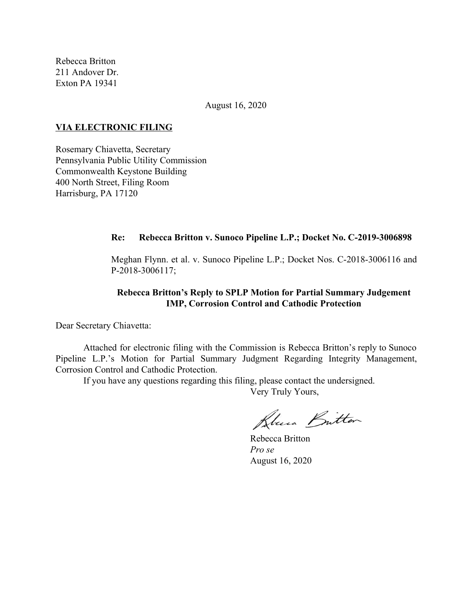Rebecca Britton 211 Andover Dr. Exton PA 19341

August 16, 2020

### **VIA ELECTRONIC FILING**

Rosemary Chiavetta, Secretary Pennsylvania Public Utility Commission Commonwealth Keystone Building 400 North Street, Filing Room Harrisburg, PA 17120

### **Re: Rebecca Britton v. Sunoco Pipeline L.P.; Docket No. C-2019-3006898**

Meghan Flynn. et al. v. Sunoco Pipeline L.P.; Docket Nos. C-2018-3006116 and P-2018-3006117;

# **Rebecca Britton's Reply to SPLP Motion for Partial Summary Judgement IMP, Corrosion Control and Cathodic Protection**

Dear Secretary Chiavetta:

Attached for electronic filing with the Commission is Rebecca Britton's reply to Sunoco Pipeline L.P.'s Motion for Partial Summary Judgment Regarding Integrity Management, Corrosion Control and Cathodic Protection.

If you have any questions regarding this filing, please contact the undersigned.

Very Truly Yours,

Blues Britton

Rebecca Britton *Pro se* August 16, 2020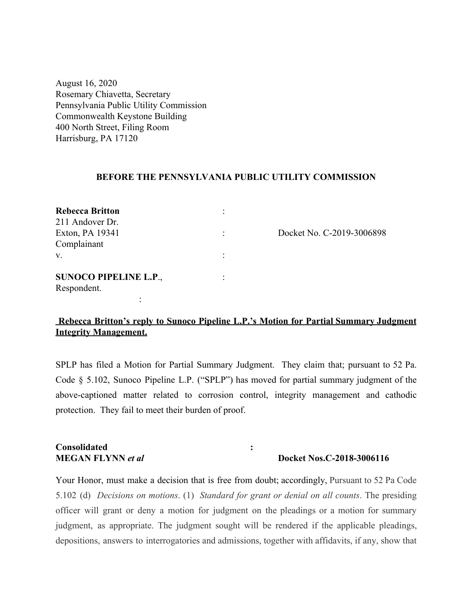August 16, 2020 Rosemary Chiavetta, Secretary Pennsylvania Public Utility Commission Commonwealth Keystone Building 400 North Street, Filing Room Harrisburg, PA 17120

### **BEFORE THE PENNSYLVANIA PUBLIC UTILITY COMMISSION**

| <b>Rebecca Britton</b>       |                           |
|------------------------------|---------------------------|
| 211 Andover Dr.              |                           |
| Exton, PA 19341              | Docket No. C-2019-3006898 |
| Complainant                  |                           |
| V.                           |                           |
| <b>SUNOCO PIPELINE L.P.,</b> |                           |
| Respondent.                  |                           |
|                              |                           |

**Rebecca Britton's reply to Sunoco Pipeline L.P.'s Motion for Partial Summary Judgment Integrity Management.**

SPLP has filed a Motion for Partial Summary Judgment. They claim that; pursuant to 52 Pa. Code § 5.102, Sunoco Pipeline L.P. ("SPLP") has moved for partial summary judgment of the above-captioned matter related to corrosion control, integrity management and cathodic protection. They fail to meet their burden of proof.

# **Consolidated : MEGAN FLYNN** *et al* **<b>Docket Nos.C-2018-3006116**

Your Honor, must make a decision that is free from doubt; accordingly, Pursuant to 52 Pa Code 5.102 (d) *Decisions on motions*. (1) *Standard for grant or denial on all counts*. The presiding officer will grant or deny a motion for judgment on the pleadings or a motion for summary judgment, as appropriate. The judgment sought will be rendered if the applicable pleadings, depositions, answers to interrogatories and admissions, together with affidavits, if any, show that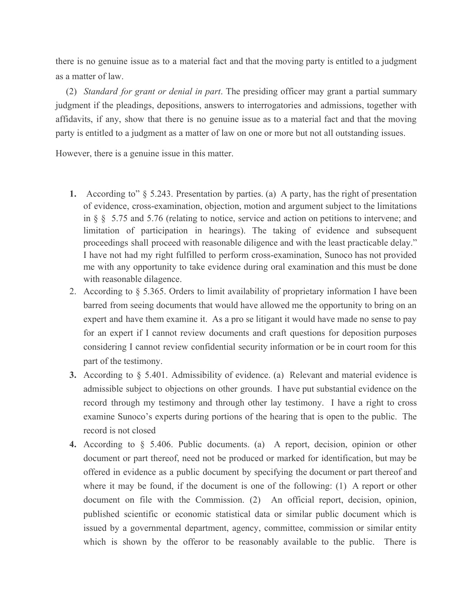there is no genuine issue as to a material fact and that the moving party is entitled to a judgment as a matter of law.

(2) *Standard for grant or denial in part*. The presiding officer may grant a partial summary judgment if the pleadings, depositions, answers to interrogatories and admissions, together with affidavits, if any, show that there is no genuine issue as to a material fact and that the moving party is entitled to a judgment as a matter of law on one or more but not all outstanding issues.

However, there is a genuine issue in this matter.

- **1.** According to" § 5.243. Presentation by parties. (a) A party, has the right of presentation of evidence, cross-examination, objection, motion and argument subject to the limitations in § § 5.75 and 5.76 (relating to notice, service and action on petitions to intervene; and limitation of participation in hearings). The taking of evidence and subsequent proceedings shall proceed with reasonable diligence and with the least practicable delay." I have not had my right fulfilled to perform cross-examination, Sunoco has not provided me with any opportunity to take evidence during oral examination and this must be done with reasonable dilagence.
- 2. According to § 5.365. Orders to limit availability of proprietary information I have been barred from seeing documents that would have allowed me the opportunity to bring on an expert and have them examine it. As a pro se litigant it would have made no sense to pay for an expert if I cannot review documents and craft questions for deposition purposes considering I cannot review confidential security information or be in court room for this part of the testimony.
- **3.** According to § 5.401. Admissibility of evidence. (a) Relevant and material evidence is admissible subject to objections on other grounds. I have put substantial evidence on the record through my testimony and through other lay testimony. I have a right to cross examine Sunoco's experts during portions of the hearing that is open to the public. The record is not closed
- **4.** According to § 5.406. Public documents. (a) A report, decision, opinion or other document or part thereof, need not be produced or marked for identification, but may be offered in evidence as a public document by specifying the document or part thereof and where it may be found, if the document is one of the following: (1) A report or other document on file with the Commission. (2) An official report, decision, opinion, published scientific or economic statistical data or similar public document which is issued by a governmental department, agency, committee, commission or similar entity which is shown by the offeror to be reasonably available to the public. There is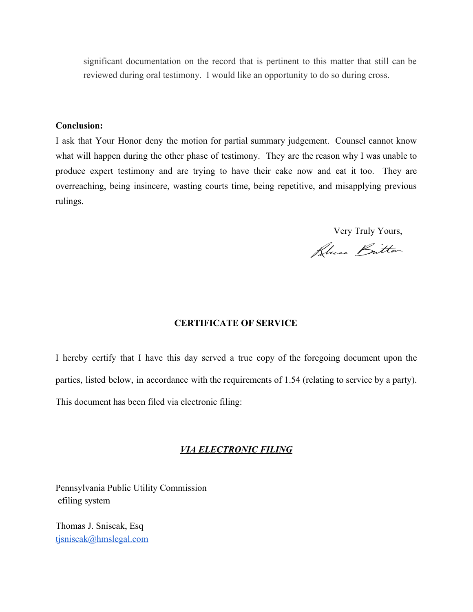significant documentation on the record that is pertinent to this matter that still can be reviewed during oral testimony. I would like an opportunity to do so during cross.

## **Conclusion:**

I ask that Your Honor deny the motion for partial summary judgement. Counsel cannot know what will happen during the other phase of testimony. They are the reason why I was unable to produce expert testimony and are trying to have their cake now and eat it too. They are overreaching, being insincere, wasting courts time, being repetitive, and misapplying previous rulings.

Very Truly Yours,

Plus Britton

# **CERTIFICATE OF SERVICE**

I hereby certify that I have this day served a true copy of the foregoing document upon the parties, listed below, in accordance with the requirements of 1.54 (relating to service by a party). This document has been filed via electronic filing:

## *VIA ELECTRONIC FILING*

Pennsylvania Public Utility Commission efiling system

Thomas J. Sniscak, Esq [tjsniscak@hmslegal.com](mailto:tjsniscak@hmslegal.com)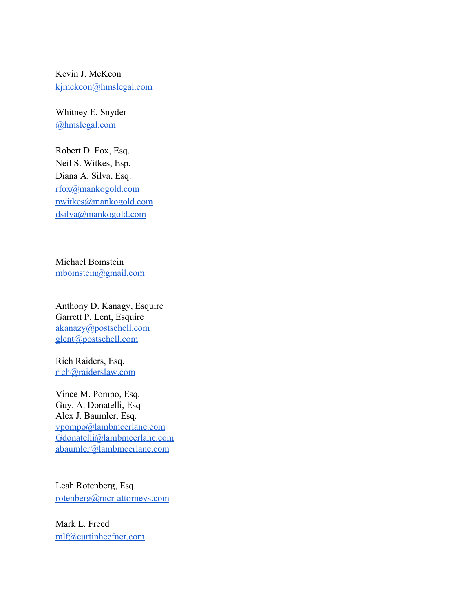Kevin J. McKeon [kjmckeon@hmslegal.com](mailto:kjmckeon@hmslegal.com)

Whitney E. Snyder [@hmslegal.com](mailto:wesnyder@hmslegal.com)

Robert D. Fox, Esq. Neil S. Witkes, Esp. Diana A. Silva, Esq. [rfox@mankogold.com](mailto:rfox@mankogold.com) [nwitkes@mankogold.com](mailto:nwitkes@mankogold.com) [dsilva@mankogold.com](mailto:dsilva@mankogold.com)

Michael Bomstein [mbomstein@gmail.com](mailto:mbomstein@gmail.com)

Anthony D. Kanagy, Esquire Garrett P. Lent, Esquire [akanazy@postschell.com](mailto:akanazy@postschell.com) [glent@postschell.com](mailto:glent@postschell.com)

Rich Raiders, Esq. [rich@raiderslaw.com](mailto:rich@raiderslaw.com)

Vince M. Pompo, Esq. Guy. A. Donatelli, Esq Alex J. Baumler, Esq. [vpompo@lambmcerlane.com](mailto:vpompo@lambmcerlane.com) [Gdonatelli@lambmcerlane.com](mailto:Gdonatelli@lambmcerlane.com) [abaumler@lambmcerlane.com](mailto:abaumler@lambmcerlane.com)

Leah Rotenberg, Esq. [rotenberg@mcr-attorneys.com](mailto:rotenberg@mcr-attorneys.com)

Mark L. Freed [mlf@curtinheefner.com](mailto:mlf@curtinheefner.com)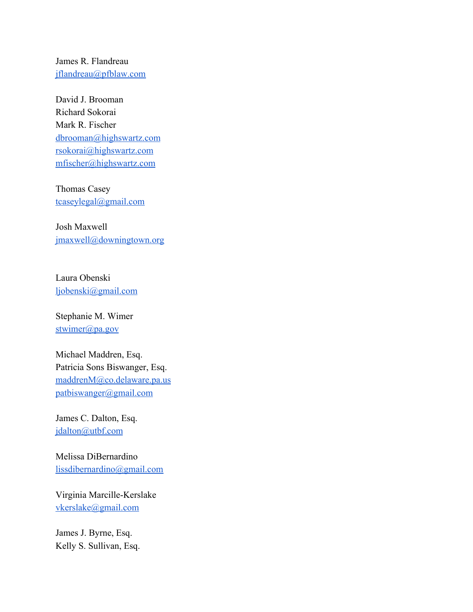James R. Flandreau [jflandreau@pfblaw.com](mailto:jflandreau@pfblaw.com)

David J. Brooman Richard Sokorai Mark R. Fischer [dbrooman@highswartz.com](mailto:dbrooman@highswartz.com) [rsokorai@highswartz.com](mailto:rsokorai@highswartz.com) [mfischer@highswartz.com](mailto:mfischer@highswartz.com)

Thomas Casey [tcaseylegal@gmail.com](mailto:tcaseylegal@gmail.com)

Josh Maxwell [jmaxwell@downingtown.org](mailto:jmaxwell@downingtown.org)

Laura Obenski [ljobenski@gmail.com](mailto:ljobenski@gmail.com)

Stephanie M. Wimer [stwimer@pa.gov](mailto:stwimer@pa.gov)

Michael Maddren, Esq. Patricia Sons Biswanger, Esq. [maddrenM@co.delaware.pa.us](mailto:maddrenM@co.delaware.pa.us) [patbiswanger@gmail.com](mailto:patbiswanger@gmail.com)

James C. Dalton, Esq. [jdalton@utbf.com](mailto:jdalton@utbf.com)

Melissa DiBernardino [lissdibernardino@gmail.com](mailto:lissdibernardino@gmail.com)

Virginia Marcille-Kerslake [vkerslake@gmail.com](mailto:vkerslake@gmail.com)

James J. Byrne, Esq. Kelly S. Sullivan, Esq.